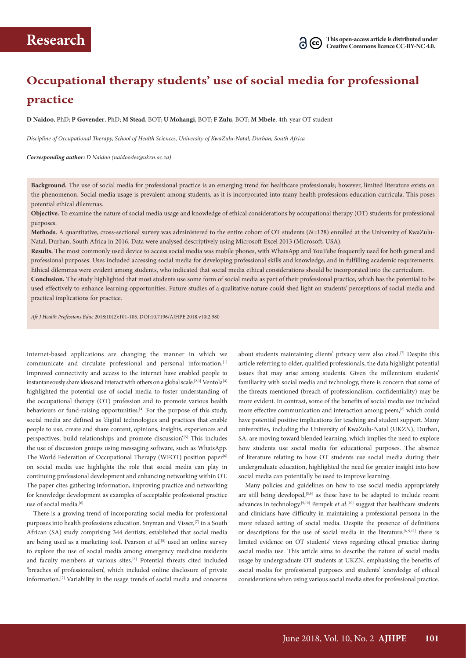# **Occupational therapy students' use of social media for professional practice**

**D Naidoo**, PhD; **P Govender**, PhD; **M Stead**, BOT; **U Mohangi**, BOT; **F Zulu**, BOT; **M Mbele**, 4th-year OT student

*Discipline of Occupational Therapy, School of Health Sciences, University of KwaZulu-Natal, Durban, South Africa* 

*Corresponding author: D Naidoo (naidoodes@ukzn.ac.za)* 

**Background.** The use of social media for professional practice is an emerging trend for healthcare professionals; however, limited literature exists on the phenomenon. Social media usage is prevalent among students, as it is incorporated into many health professions education curricula. This poses potential ethical dilemmas.

**Objective.** To examine the nature of social media usage and knowledge of ethical considerations by occupational therapy (OT) students for professional purposes.

**Methods.** A quantitative, cross-sectional survey was administered to the entire cohort of OT students (*N*=128) enrolled at the University of KwaZulu-Natal, Durban, South Africa in 2016. Data were analysed descriptively using Microsoft Excel 2013 (Microsoft, USA).

**Results.** The most commonly used device to access social media was mobile phones, with WhatsApp and YouTube frequently used for both general and professional purposes. Uses included accessing social media for developing professional skills and knowledge, and in fulfilling academic requirements. Ethical dilemmas were evident among students, who indicated that social media ethical considerations should be incorporated into the curriculum.

**Conclusion.** The study highlighted that most students use some form of social media as part of their professional practice, which has the potential to be used effectively to enhance learning opportunities. Future studies of a qualitative nature could shed light on students' perceptions of social media and practical implications for practice.

*Afr J Health Professions Educ* 2018;10(2):101-105. DOI:10.7196/AJHPE.2018.v10i2.980

Internet-based applications are changing the manner in which we communicate and circulate professional and personal information.[1] Improved connectivity and access to the internet have enabled people to instantaneously share ideas and interact with others on a global scale.<sup>[2,3]</sup> Ventola<sup>[4]</sup> highlighted the potential use of social media to foster understanding of the occupational therapy (OT) profession and to promote various health behaviours or fund-raising opportunities.<sup>[4]</sup> For the purpose of this study, social media are defined as 'digital technologies and practices that enable people to use, create and share content, opinions, insights, experiences and perspectives, build relationships and promote discussion.<sup>[5]</sup> This includes the use of discussion groups using messaging software, such as WhatsApp. The World Federation of Occupational Therapy (WFOT) position paper<sup>[6]</sup> on social media use highlights the role that social media can play in continuing professional development and enhancing networking within OT. The paper cites gathering information, improving practice and networking for knowledge development as examples of acceptable professional practice use of social media.<sup>[6]</sup>

There is a growing trend of incorporating social media for professional purposes into health professions education. Snyman and Visser,[7] in a South African (SA) study comprising 344 dentists, established that social media are being used as a marketing tool. Pearson *et al.*<sup>[8]</sup> used an online survey to explore the use of social media among emergency medicine residents and faculty members at various sites.[8] Potential threats cited included 'breaches of professionalism', which included online disclosure of private information.[7] Variability in the usage trends of social media and concerns

about students maintaining clients' privacy were also cited.<sup>[7]</sup> Despite this article referring to older, qualified professionals, the data highlight potential issues that may arise among students. Given the millennium students' familiarity with social media and technology, there is concern that some of the threats mentioned (breach of professionalism, confidentiality) may be more evident. In contrast, some of the benefits of social media use included more effective communication and interaction among peers,[8] which could have potential positive implications for teaching and student support. Many universities, including the University of KwaZulu-Natal (UKZN), Durban, SA, are moving toward blended learning, which implies the need to explore how students use social media for educational purposes. The absence of literature relating to how OT students use social media during their undergraduate education, highlighted the need for greater insight into how social media can potentially be used to improve learning.

Many policies and guidelines on how to use social media appropriately are still being developed, $[5,9]$  as these have to be adapted to include recent advances in technology.<sup>[9,10]</sup> Pempek *et al*.<sup>[10]</sup> suggest that healthcare students and clinicians have difficulty in maintaining a professional persona in the more relaxed setting of social media. Despite the presence of definitions or descriptions for the use of social media in the literature,  $[6,9,11]$  there is limited evidence on OT students' views regarding ethical practice during social media use. This article aims to describe the nature of social media usage by undergraduate OT students at UKZN, emphasising the benefits of social media for professional purposes and students' knowledge of ethical considerations when using various social media sites for professional practice.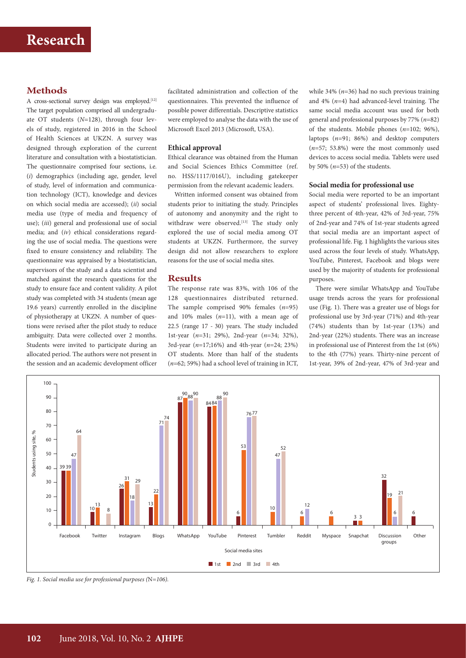### **Methods**

A cross-sectional survey design was employed.<sup>[12]</sup> The target population comprised all undergraduate OT students (*N*=128), through four levels of study, registered in 2016 in the School of Health Sciences at UKZN. A survey was designed through exploration of the current literature and consultation with a biostatistician. The questionnaire comprised four sections, i.e. (*i*) demographics (including age, gender, level of study, level of information and communication technology (ICT), knowledge and devices on which social media are accessed); (*ii*) social media use (type of media and frequency of use); (*iii*) general and professional use of social media; and (*iv*) ethical considerations regarding the use of social media. The questions were fixed to ensure consistency and reliability. The questionnaire was appraised by a biostatistician, supervisors of the study and a data scientist and matched against the research questions for the study to ensure face and content validity. A pilot study was completed with 34 students (mean age 19.6 years) currently enrolled in the discipline of physiotherapy at UKZN. A number of questions were revised after the pilot study to reduce ambiguity. Data were collected over 2 months. Students were invited to participate during an allocated period. The authors were not present in the session and an academic development officer

facilitated administration and collection of the questionnaires. This prevented the influence of possible power differentials. Descriptive statistics were employed to analyse the data with the use of Microsoft Excel 2013 (Microsoft, USA).

#### **Ethical approval**

Ethical clearance was obtained from the Human and Social Sciences Ethics Committee (ref. no. HSS/1117/016U), including gatekeeper permission from the relevant academic leaders.

Written informed consent was obtained from students prior to initiating the study. Principles of autonomy and anonymity and the right to withdraw were observed.[13] The study only explored the use of social media among OT students at UKZN. Furthermore, the survey design did not allow researchers to explore reasons for the use of social media sites.

#### **Results**

The response rate was 83%, with 106 of the 128 questionnaires distributed returned. The sample comprised 90% females (*n*=95) and 10% males (*n*=11), with a mean age of 22.5 (range 17 - 30) years. The study included 1st-year (*n*=31; 29%), 2nd-year (*n*=34; 32%), 3rd-year (*n*=17;16%) and 4th-year (*n*=24; 23%) OT students. More than half of the students (*n*=62; 59%) had a school level of training in ICT, while 34% (*n*=36) had no such previous training and 4% (*n*=4) had advanced-level training. The same social media account was used for both general and professional purposes by 77% (*n*=82) of the students. Mobile phones (*n*=102; 96%), laptops (*n*=91; 86%) and desktop computers (*n*=57; 53.8%) were the most commonly used devices to access social media. Tablets were used by 50% (*n*=53) of the students.

#### **Social media for professional use**

Social media were reported to be an important aspect of students' professional lives. Eightythree percent of 4th-year, 42% of 3rd-year, 75% of 2nd-year and 74% of 1st-year students agreed that social media are an important aspect of professional life. Fig. 1 highlights the various sites used across the four levels of study. WhatsApp, YouTube, Pinterest, Facebook and blogs were used by the majority of students for professional purposes.

There were similar WhatsApp and YouTube usage trends across the years for professional use (Fig. 1). There was a greater use of blogs for professional use by 3rd-year (71%) and 4th-year (74%) students than by 1st-year (13%) and 2nd-year (22%) students. There was an increase in professional use of Pinterest from the 1st (6%) to the 4th (77%) years. Thirty-nine percent of 1st-year, 39% of 2nd-year, 47% of 3rd-year and



*Fig. 1. Social media use for professional purposes (*N*=106).*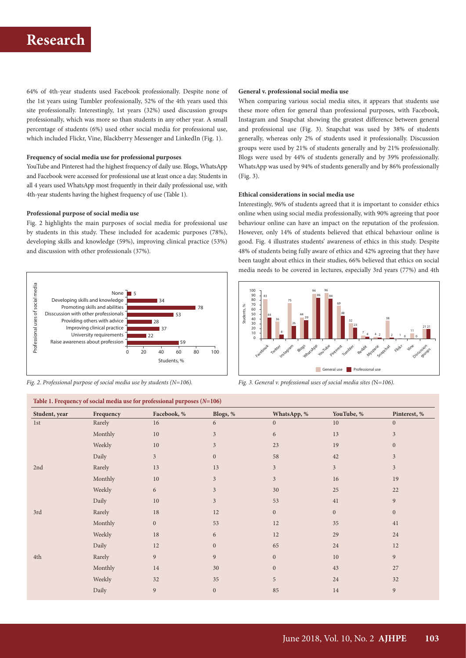## **Research**

64% of 4th-year students used Facebook professionally. Despite none of the 1st years using Tumbler professionally, 52% of the 4th years used this site professionally. Interestingly, 1st years (32%) used discussion groups professionally, which was more so than students in any other year. A small percentage of students (6%) used other social media for professional use, which included Flickr, Vine, Blackberry Messenger and LinkedIn (Fig. 1).

#### **Frequency of social media use for professional purposes**

YouTube and Pinterest had the highest frequency of daily use. Blogs, WhatsApp and Facebook were accessed for professional use at least once a day. Students in all 4 years used WhatsApp most frequently in their daily professional use, with 4th-year students having the highest frequency of use (Table 1).

#### **Professional purpose of social media use**

Fig. 2 highlights the main purposes of social media for professional use by students in this study. These included for academic purposes (78%), developing skills and knowledge (59%), improving clinical practice (53%) and discussion with other professionals (37%).



*Fig. 2. Professional purpose of social media use by students (N=106).*

#### **General v. professional social media use**

When comparing various social media sites, it appears that students use these more often for general than professional purposes, with Facebook, Instagram and Snapchat showing the greatest difference between general and professional use (Fig. 3). Snapchat was used by 38% of students generally, whereas only 2% of students used it professionally. Discussion groups were used by 21% of students generally and by 21% professionally. Blogs were used by 44% of students generally and by 39% professionally. WhatsApp was used by 94% of students generally and by 86% professionally (Fig. 3).

#### **Ethical considerations in social media use**

Interestingly, 96% of students agreed that it is important to consider ethics online when using social media professionally, with 90% agreeing that poor behaviour online can have an impact on the reputation of the profession. However, only 14% of students believed that ethical behaviour online is good. Fig. 4 illustrates students' awareness of ethics in this study. Despite 48% of students being fully aware of ethics and 42% agreeing that they have been taught about ethics in their studies, 66% believed that ethics on social media needs to be covered in lectures, especially 3rd years (77%) and 4th



*Fig. 3. General v. professional uses of social media sites (*N*=106).*

| Student, year | Frequency | Facebook, %    | Blogs, %       | WhatsApp, %    | YouTube, %     | Pinterest, %   |
|---------------|-----------|----------------|----------------|----------------|----------------|----------------|
| 1st           | Rarely    | 16             | 6              | $\overline{0}$ | 10             | $\overline{0}$ |
|               | Monthly   | 10             | $\mathfrak{Z}$ | 6              | 13             | $\mathfrak{Z}$ |
|               | Weekly    | 10             | $\mathfrak{Z}$ | 23             | 19             | $\overline{0}$ |
|               | Daily     | $\mathfrak{Z}$ | $\mathbf{0}$   | 58             | 42             | $\overline{3}$ |
| 2nd           | Rarely    | 13             | 13             | $\overline{3}$ | $\mathfrak{Z}$ | $\overline{3}$ |
|               | Monthly   | 10             | $\mathfrak{Z}$ | $\overline{3}$ | 16             | 19             |
|               | Weekly    | 6              | 3              | 30             | 25             | 22             |
|               | Daily     | 10             | $\mathfrak{Z}$ | 53             | 41             | 9              |
| 3rd           | Rarely    | 18             | 12             | $\overline{0}$ | $\mathbf{0}$   | $\overline{0}$ |
|               | Monthly   | $\overline{0}$ | 53             | 12             | 35             | 41             |
|               | Weekly    | 18             | 6              | 12             | 29             | 24             |
|               | Daily     | 12             | $\mathbf{0}$   | 65             | 24             | 12             |
| 4th           | Rarely    | $\overline{9}$ | $\overline{9}$ | $\overline{0}$ | 10             | 9              |
|               | Monthly   | 14             | 30             | $\overline{0}$ | 43             | 27             |
|               | Weekly    | 32             | 35             | 5              | 24             | 32             |
|               | Daily     | 9              | $\mathbf{0}$   | 85             | 14             | 9              |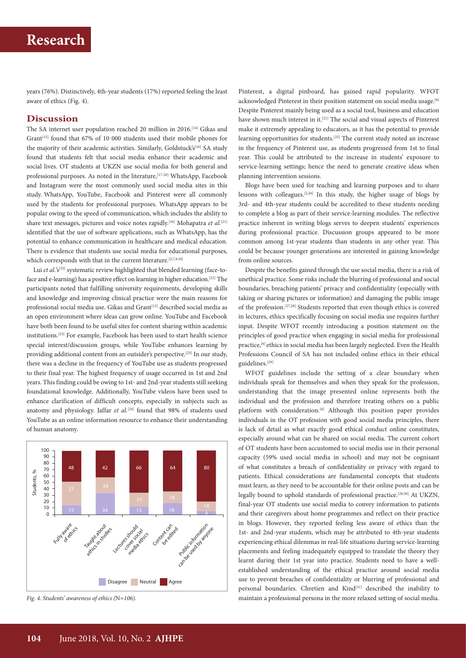## **Research**

years (76%). Distinctively, 4th-year students (17%) reported feeling the least aware of ethics (Fig. 4).

### **Discussion**

The SA internet user population reached 20 million in 2016.[14] Gikas and Grant<sup>[15]</sup> found that 67% of 10 000 students used their mobile phones for the majority of their academic activities. Similarly, Goldstuck's<sup>[16]</sup> SA study found that students felt that social media enhance their academic and social lives. OT students at UKZN use social media for both general and professional purposes. As noted in the literature,<sup>[17-20]</sup> WhatsApp, Facebook and Instagram were the most commonly used social media sites in this study. WhatsApp, YouTube, Facebook and Pinterest were all commonly used by the students for professional purposes. WhatsApp appears to be popular owing to the speed of communication, which includes the ability to share text messages, pictures and voice notes rapidly.<sup>[16]</sup> Mohapatra et al.<sup>[21]</sup> identified that the use of software applications, such as WhatsApp, has the potential to enhance communication in healthcare and medical education. There is evidence that students use social media for educational purposes, which corresponds with that in the current literature.<sup>[2,7,9,10]</sup>

Lui et al.'s<sup>[22]</sup> systematic review highlighted that blended learning (face-toface and e-learning) has a positive effect on learning in higher education.[22] The participants noted that fulfilling university requirements, developing skills and knowledge and improving clinical practice were the main reasons for professional social media use. Gikas and Grant<sup>[15]</sup> described social media as an open environment where ideas can grow online. YouTube and Facebook have both been found to be useful sites for content sharing within academic institutions.[23] For example, Facebook has been used to start health science special interest/discussion groups, while YouTube enhances learning by providing additional content from an outsider's perspective.<sup>[23]</sup> In our study, there was a decline in the frequency of YouTube use as students progressed to their final year. The highest frequency of usage occurred in 1st and 2nd years. This finding could be owing to 1st- and 2nd-year students still seeking foundational knowledge. Additionally, YouTube videos have been used to enhance clarification of difficult concepts, especially in subjects such as anatomy and physiology. Jaffar *et al.*<sup>[24]</sup> found that 98% of students used YouTube as an online information resource to enhance their understanding of human anatomy.



*Fig. 4. Students' awareness of ethics (*N*=106).*

Pinterest, a digital pinboard, has gained rapid popularity. WFOT acknowledged Pinterest in their position statement on social media usage.<sup>[6]</sup> Despite Pinterest mainly being used as a social tool, business and education have shown much interest in it.<sup>[21]</sup> The social and visual aspects of Pinterest make it extremely appealing to educators, as it has the potential to provide learning opportunities for students.<sup>[25]</sup> The current study noted an increase in the frequency of Pinterest use, as students progressed from 1st to final year. This could be attributed to the increase in students' exposure to service-learning settings; hence the need to generate creative ideas when planning intervention sessions.

Blogs have been used for teaching and learning purposes and to share lessons with colleagues.[2,26] In this study, the higher usage of blogs by 3rd- and 4th-year students could be accredited to these students needing to complete a blog as part of their service-learning modules. The reflective practice inherent in writing blogs serves to deepen students' experiences during professional practice. Discussion groups appeared to be more common among 1st-year students than students in any other year. This could be because younger generations are interested in gaining knowledge from online sources.

Despite the benefits gained through the use social media, there is a risk of unethical practice. Some risks include the blurring of professional and social boundaries, breaching patients' privacy and confidentiality (especially with taking or sharing pictures or information) and damaging the public image of the profession.[27,28] Students reported that even though ethics is covered in lectures, ethics specifically focusing on social media use requires further input. Despite WFOT recently introducing a position statement on the principles of good practice when engaging in social media for professional practice,<sup>[6]</sup> ethics in social media has been largely neglected. Even the Health Professions Council of SA has not included online ethics in their ethical guidelines.[29]

WFOT guidelines include the setting of a clear boundary when individuals speak for themselves and when they speak for the profession, understanding that the image presented online represents both the individual and the profession and therefore treating others on a public platform with consideration.<sup>[6]</sup> Although this position paper provides individuals in the OT profession with good social media principles, there is lack of detail as what exactly good ethical conduct online constitutes, especially around what can be shared on social media. The current cohort of OT students have been accustomed to social media use in their personal capacity (59% used social media in school) and may not be cognisant of what constitutes a breach of confidentiality or privacy with regard to patients. Ethical considerations are fundamental concepts that students must learn, as they need to be accountable for their online posts and can be legally bound to uphold standards of professional practice.[28,30] At UKZN, final-year OT students use social media to convey information to patients and their caregivers about home programmes and reflect on their practice in blogs. However, they reported feeling less aware of ethics than the 1st- and 2nd-year students, which may be attributed to 4th-year students experiencing ethical dilemmas in real-life situations during service-learning placements and feeling inadequately equipped to translate the theory they learnt during their 1st year into practice. Students need to have a wellestablished understanding of the ethical practice around social media use to prevent breaches of confidentiality or blurring of professional and personal boundaries. Chretien and Kind<sup>[31]</sup> described the inability to maintain a professional persona in the more relaxed setting of social media.